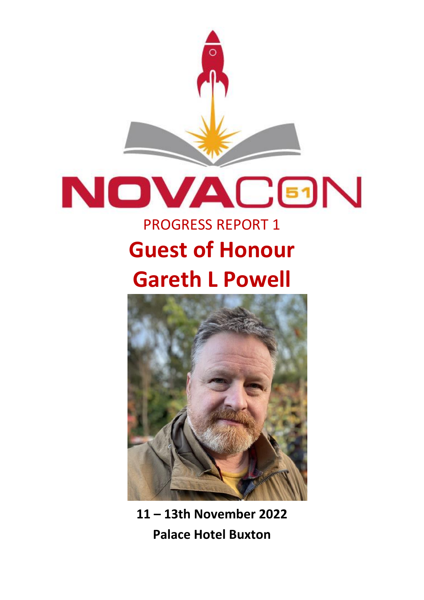

# **NOVAC®N**

## PROGRESS REPORT 1 **Guest of Honour Gareth L Powell**



**11 – 13th November 2022 Palace Hotel Buxton**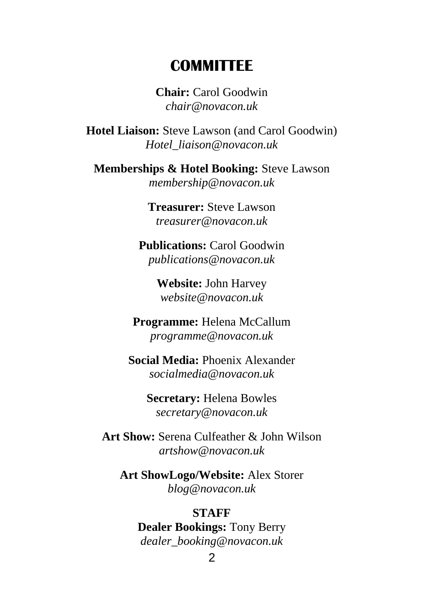#### **COMMITTEE**

**Chair:** Carol Goodwin *chair@novacon.uk*

**Hotel Liaison:** Steve Lawson (and Carol Goodwin) *Hotel\_liaison@novacon.uk*

**Memberships & Hotel Booking:** Steve Lawson *membership@novacon.uk*

> **Treasurer:** Steve Lawson *treasurer@novacon.uk*

**Publications:** Carol Goodwin *publications@novacon.uk*

> **Website:** John Harvey *website@novacon.uk*

**Programme:** Helena McCallum *programme@novacon.uk*

**Social Media:** Phoenix Alexander *socialmedia@novacon.uk*

> **Secretary:** Helena Bowles *secretary@novacon.uk*

**Art Show:** Serena Culfeather & John Wilson *artshow@novacon.uk*

**Art ShowLogo/Website:** Alex Storer *blog@novacon.uk*

#### **STAFF**

**Dealer Bookings:** Tony Berry *dealer\_booking@novacon.uk*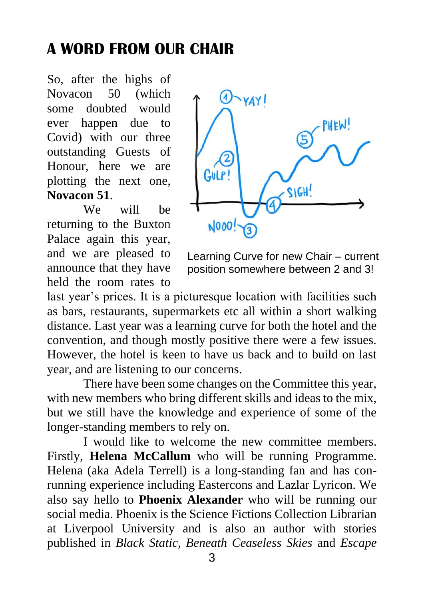## **A WORD FROM OUR CHAIR**

So, after the highs of Novacon 50 (which some doubted would ever happen due to Covid) with our three outstanding Guests of Honour, here we are plotting the next one, **Novacon 51**.

We will be returning to the Buxton Palace again this year, and we are pleased to announce that they have held the room rates to



Learning Curve for new Chair – current position somewhere between 2 and 3!

last year's prices. It is a picturesque location with facilities such as bars, restaurants, supermarkets etc all within a short walking distance. Last year was a learning curve for both the hotel and the convention, and though mostly positive there were a few issues. However, the hotel is keen to have us back and to build on last year, and are listening to our concerns.

There have been some changes on the Committee this year, with new members who bring different skills and ideas to the mix, but we still have the knowledge and experience of some of the longer-standing members to rely on.

I would like to welcome the new committee members. Firstly, **Helena McCallum** who will be running Programme. Helena (aka Adela Terrell) is a long-standing fan and has conrunning experience including Eastercons and Lazlar Lyricon. We also say hello to **Phoenix Alexander** who will be running our social media. Phoenix is the Science Fictions Collection Librarian at Liverpool University and is also an author with stories published in *Black Static, Beneath Ceaseless Skies* and *Escape*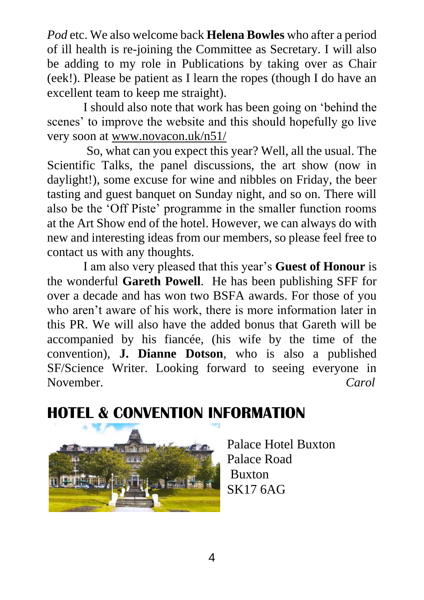*Pod* etc. We also welcome back **Helena Bowles** who after a period of ill health is re-joining the Committee as Secretary. I will also be adding to my role in Publications by taking over as Chair (eek!). Please be patient as I learn the ropes (though I do have an excellent team to keep me straight).

I should also note that work has been going on 'behind the scenes' to improve the website and this should hopefully go live very soon at www.novacon.uk/n51/

So, what can you expect this year? Well, all the usual. The Scientific Talks, the panel discussions, the art show (now in daylight!), some excuse for wine and nibbles on Friday, the beer tasting and guest banquet on Sunday night, and so on. There will also be the 'Off Piste' programme in the smaller function rooms at the Art Show end of the hotel. However, we can always do with new and interesting ideas from our members, so please feel free to contact us with any thoughts.

I am also very pleased that this year's **Guest of Honour** is the wonderful **Gareth Powell**. He has been publishing SFF for over a decade and has won two BSFA awards. For those of you who aren't aware of his work, there is more information later in this PR. We will also have the added bonus that Gareth will be accompanied by his fiancée, (his wife by the time of the convention), **J. Dianne Dotson**, who is also a published SF/Science Writer. Looking forward to seeing everyone in November. *Carol*

## **HOTEL & CONVENTION INFORMATION**



Palace Hotel Buxton Palace Road Buxton SK17 6AG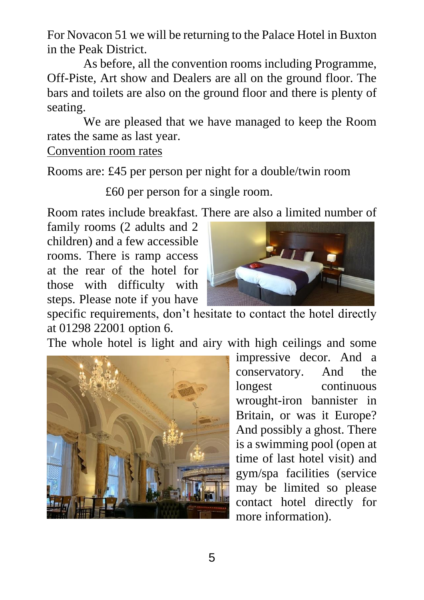For Novacon 51 we will be returning to the Palace Hotel in Buxton in the Peak District.

As before, all the convention rooms including Programme, Off-Piste, Art show and Dealers are all on the ground floor. The bars and toilets are also on the ground floor and there is plenty of seating.

We are pleased that we have managed to keep the Room rates the same as last year.

#### Convention room rates

Rooms are: £45 per person per night for a double/twin room

£60 per person for a single room.

Room rates include breakfast. There are also a limited number of

family rooms (2 adults and 2 children) and a few accessible rooms. There is ramp access at the rear of the hotel for those with difficulty with steps. Please note if you have



specific requirements, don't hesitate to contact the hotel directly at 01298 22001 option 6.

The whole hotel is light and airy with high ceilings and some



impressive decor. And a conservatory. And the longest continuous wrought-iron bannister in Britain, or was it Europe? And possibly a ghost. There is a swimming pool (open at time of last hotel visit) and gym/spa facilities (service may be limited so please contact hotel directly for more information).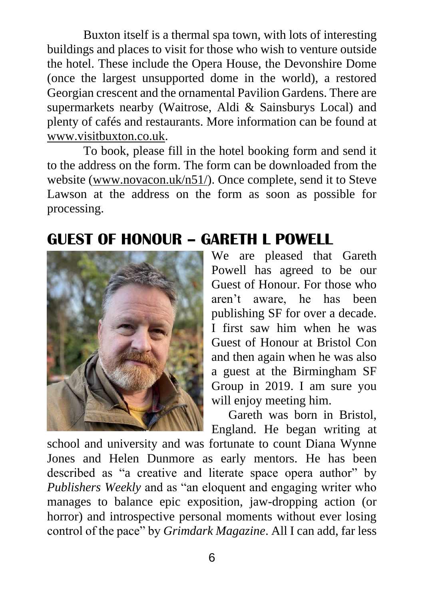Buxton itself is a thermal spa town, with lots of interesting buildings and places to visit for those who wish to venture outside the hotel. These include the Opera House, the Devonshire Dome (once the largest unsupported dome in the world), a restored Georgian crescent and the ornamental Pavilion Gardens. There are supermarkets nearby (Waitrose, Aldi & Sainsburys Local) and plenty of cafés and restaurants. More information can be found at www.visitbuxton.co.uk.

To book, please fill in the hotel booking form and send it to the address on the form. The form can be downloaded from the website (www.novacon.uk/n51/). Once complete, send it to Steve Lawson at the address on the form as soon as possible for processing.

### **GUEST OF HONOUR – GARETH L POWELL**



We are pleased that Gareth Powell has agreed to be our Guest of Honour. For those who aren't aware, he has been publishing SF for over a decade. I first saw him when he was Guest of Honour at Bristol Con and then again when he was also a guest at the Birmingham SF Group in 2019. I am sure you will enjoy meeting him.

Gareth was born in Bristol, England. He began writing at

school and university and was fortunate to count Diana Wynne Jones and Helen Dunmore as early mentors. He has been described as "a creative and literate space opera author" by *Publishers Weekly* and as "an eloquent and engaging writer who manages to balance epic exposition, jaw-dropping action (or horror) and introspective personal moments without ever losing control of the pace" by *Grimdark Magazine*. All I can add, far less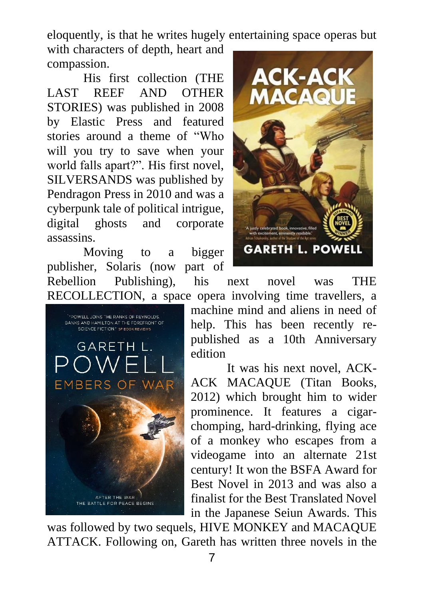eloquently, is that he writes hugely entertaining space operas but

with characters of depth, heart and compassion.

His first collection (THE LAST REEF AND OTHER STORIES) was published in 2008 by Elastic Press and featured stories around a theme of "Who will you try to save when your world falls apart?". His first novel, SILVERSANDS was published by Pendragon Press in 2010 and was a cyberpunk tale of political intrigue, digital ghosts and corporate assassins.

Moving to a bigger publisher, Solaris (now part of Rebellion Publishing), his next novel was THE RECOLLECTION, a space opera involving time travellers, a





machine mind and aliens in need of help. This has been recently republished as a 10th Anniversary edition

It was his next novel, ACK-ACK MACAQUE (Titan Books, 2012) which brought him to wider prominence. It features a cigarchomping, hard-drinking, flying ace of a monkey who escapes from a videogame into an alternate 21st century! It won the BSFA Award for Best Novel in 2013 and was also a finalist for the Best Translated Novel in the Japanese Seiun Awards. This

was followed by two sequels, HIVE MONKEY and MACAQUE ATTACK. Following on, Gareth has written three novels in the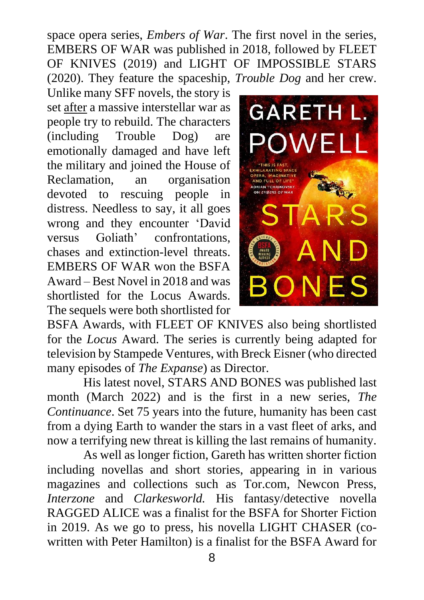space opera series, *Embers of War*. The first novel in the series, EMBERS OF WAR was published in 2018, followed by FLEET OF KNIVES (2019) and LIGHT OF IMPOSSIBLE STARS (2020). They feature the spaceship, *Trouble Dog* and her crew.

Unlike many SFF novels, the story is set after a massive interstellar war as people try to rebuild. The characters (including Trouble Dog) are emotionally damaged and have left the military and joined the House of Reclamation, an organisation devoted to rescuing people in distress. Needless to say, it all goes wrong and they encounter 'David versus Goliath' confrontations, chases and extinction-level threats. EMBERS OF WAR won the BSFA Award – Best Novel in 2018 and was shortlisted for the Locus Awards. The sequels were both shortlisted for



BSFA Awards, with FLEET OF KNIVES also being shortlisted for the *Locus* Award. The series is currently being adapted for television by Stampede Ventures, with Breck Eisner (who directed many episodes of *The Expanse*) as Director.

His latest novel, STARS AND BONES was published last month (March 2022) and is the first in a new series, *The Continuance*. Set 75 years into the future, humanity has been cast from a dying Earth to wander the stars in a vast fleet of arks, and now a terrifying new threat is killing the last remains of humanity.

As well as longer fiction, Gareth has written shorter fiction including novellas and short stories, appearing in in various magazines and collections such as Tor.com, Newcon Press, *Interzone* and *Clarkesworld.* His fantasy/detective novella RAGGED ALICE was a finalist for the BSFA for Shorter Fiction in 2019. As we go to press, his novella LIGHT CHASER (cowritten with Peter Hamilton) is a finalist for the BSFA Award for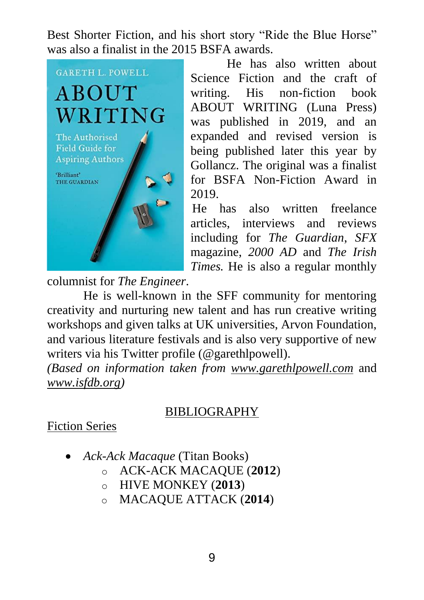Best Shorter Fiction, and his short story "Ride the Blue Horse" was also a finalist in the 2015 BSFA awards.



He has also written about Science Fiction and the craft of writing. His non-fiction book ABOUT WRITING (Luna Press) was published in 2019, and an expanded and revised version is being published later this year by Gollancz. The original was a finalist for BSFA Non-Fiction Award in 2019.

He has also written freelance articles, interviews and reviews including for *The Guardian*, *SFX* magazine, *2000 AD* and *The Irish Times.* He is also a regular monthly

columnist for *The Engineer*.

He is well-known in the SFF community for mentoring creativity and nurturing new talent and has run creative writing workshops and given talks at UK universities, Arvon Foundation, and various literature festivals and is also very supportive of new writers via his Twitter profile (@garethlpowell).

*(Based on information taken from www.garethlpowell.com* and *www.isfdb.org)*

#### BIBLIOGRAPHY

#### Fiction Series

- *Ack-Ack Macaque* (Titan Books)
	- o ACK-ACK MACAQUE (**2012**)
	- o HIVE MONKEY (**2013**)
	- o MACAQUE ATTACK (**2014**)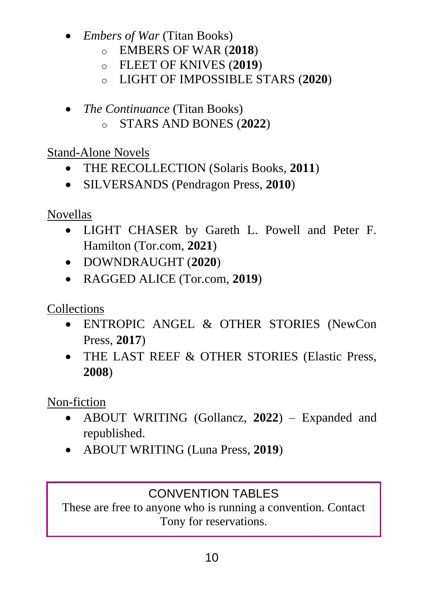- *Embers of War* (Titan Books)
	- o EMBERS OF WAR (**2018**)
	- o FLEET OF KNIVES (**2019**)
	- o LIGHT OF IMPOSSIBLE STARS (**2020**)
- *The Continuance* (Titan Books)
	- o STARS AND BONES (**2022**)

Stand-Alone Novels

- THE RECOLLECTION (Solaris Books, **2011**)
- SILVERSANDS (Pendragon Press, **2010**)

Novellas

- LIGHT CHASER by Gareth L. Powell and Peter F. Hamilton (Tor.com, **2021**)
- DOWNDRAUGHT (**2020**)
- RAGGED ALICE (Tor.com, **2019**)

Collections

- ENTROPIC ANGEL & OTHER STORIES (NewCon Press, **2017**)
- THE LAST REEF & OTHER STORIES (Elastic Press, **2008**)

Non-fiction

- ABOUT WRITING (Gollancz, **2022**) Expanded and republished.
- ABOUT WRITING (Luna Press, **2019**)

#### CONVENTION TABLES

These are free to anyone who is running a convention. Contact Tony for reservations.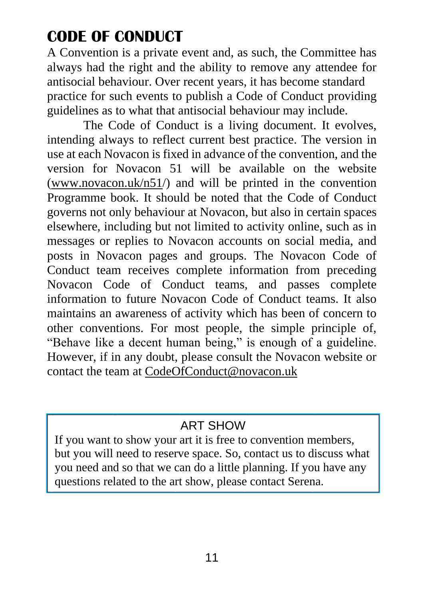## **CODE OF CONDUCT**

A Convention is a private event and, as such, the Committee has always had the right and the ability to remove any attendee for antisocial behaviour. Over recent years, it has become standard practice for such events to publish a Code of Conduct providing guidelines as to what that antisocial behaviour may include.

The Code of Conduct is a living document. It evolves, intending always to reflect current best practice. The version in use at each Novacon is fixed in advance of the convention, and the version for Novacon 51 will be available on the website (www.novacon.uk/n51/) and will be printed in the convention Programme book. It should be noted that the Code of Conduct governs not only behaviour at Novacon, but also in certain spaces elsewhere, including but not limited to activity online, such as in messages or replies to Novacon accounts on social media, and posts in Novacon pages and groups. The Novacon Code of Conduct team receives complete information from preceding Novacon Code of Conduct teams, and passes complete information to future Novacon Code of Conduct teams. It also maintains an awareness of activity which has been of concern to other conventions. For most people, the simple principle of, "Behave like a decent human being," is enough of a guideline. However, if in any doubt, please consult the Novacon website or contact the team at CodeOfConduct@novacon.uk

#### ART SHOW

If you want to show your art it is free to convention members, but you will need to reserve space. So, contact us to discuss what you need and so that we can do a little planning. If you have any questions related to the art show, please contact Serena.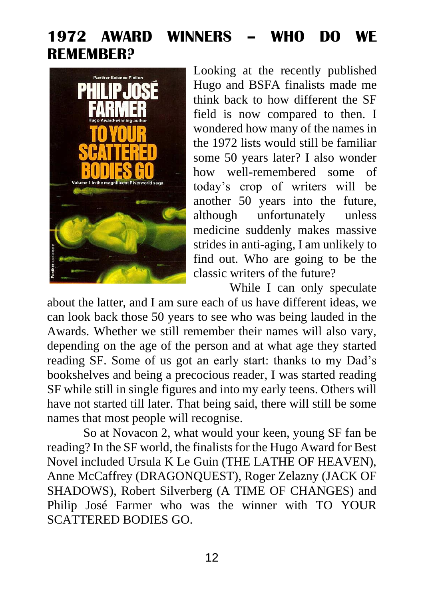## **1972 AWARD WINNERS – WHO DO WE REMEMBER?**



Looking at the recently published Hugo and BSFA finalists made me think back to how different the SF field is now compared to then. I wondered how many of the names in the 1972 lists would still be familiar some 50 years later? I also wonder how well-remembered some of today's crop of writers will be another 50 years into the future, although unfortunately unless medicine suddenly makes massive strides in anti-aging, I am unlikely to find out. Who are going to be the classic writers of the future?

While I can only speculate about the latter, and I am sure each of us have different ideas, we can look back those 50 years to see who was being lauded in the Awards. Whether we still remember their names will also vary, depending on the age of the person and at what age they started reading SF. Some of us got an early start: thanks to my Dad's bookshelves and being a precocious reader, I was started reading SF while still in single figures and into my early teens. Others will have not started till later. That being said, there will still be some names that most people will recognise.

So at Novacon 2, what would your keen, young SF fan be reading? In the SF world, the finalists for the Hugo Award for Best Novel included Ursula K Le Guin (THE LATHE OF HEAVEN), Anne McCaffrey (DRAGONQUEST), Roger Zelazny (JACK OF SHADOWS), Robert Silverberg (A TIME OF CHANGES) and Philip José Farmer who was the winner with TO YOUR SCATTERED BODIES GO.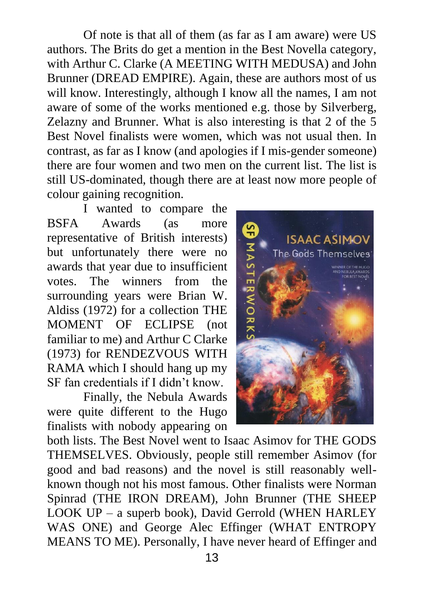Of note is that all of them (as far as I am aware) were US authors. The Brits do get a mention in the Best Novella category, with Arthur C. Clarke (A MEETING WITH MEDUSA) and John Brunner (DREAD EMPIRE). Again, these are authors most of us will know. Interestingly, although I know all the names, I am not aware of some of the works mentioned e.g. those by Silverberg, Zelazny and Brunner. What is also interesting is that 2 of the 5 Best Novel finalists were women, which was not usual then. In contrast, as far as I know (and apologies if I mis-gender someone) there are four women and two men on the current list. The list is still US-dominated, though there are at least now more people of colour gaining recognition.

I wanted to compare the BSFA Awards (as more representative of British interests) but unfortunately there were no awards that year due to insufficient<br>votes. The winners from the winners from the surrounding years were Brian W. Aldiss (1972) for a collection THE MOMENT OF ECLIPSE (not familiar to me) and Arthur C Clarke (1973) for RENDEZVOUS WITH RAMA which I should hang up my SF fan credentials if I didn't know.

Finally, the Nebula Awards were quite different to the Hugo finalists with nobody appearing on



both lists. The Best Novel went to Isaac Asimov for THE GODS THEMSELVES. Obviously, people still remember Asimov (for good and bad reasons) and the novel is still reasonably wellknown though not his most famous. Other finalists were Norman Spinrad (THE IRON DREAM), John Brunner (THE SHEEP LOOK UP – a superb book), David Gerrold (WHEN HARLEY WAS ONE) and George Alec Effinger (WHAT ENTROPY MEANS TO ME). Personally, I have never heard of Effinger and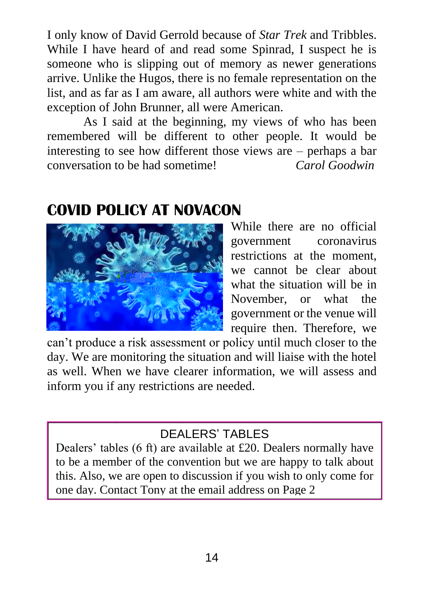I only know of David Gerrold because of *Star Trek* and Tribbles. While I have heard of and read some Spinrad, I suspect he is someone who is slipping out of memory as newer generations arrive. Unlike the Hugos, there is no female representation on the list, and as far as I am aware, all authors were white and with the exception of John Brunner, all were American.

As I said at the beginning, my views of who has been remembered will be different to other people. It would be interesting to see how different those views are – perhaps a bar conversation to be had sometime! *Carol Goodwin*

#### **COVID POLICY AT NOVACON**



While there are no official government coronavirus restrictions at the moment, we cannot be clear about what the situation will be in November, or what the government or the venue will require then. Therefore, we

can't produce a risk assessment or policy until much closer to the day. We are monitoring the situation and will liaise with the hotel as well. When we have clearer information, we will assess and inform you if any restrictions are needed.

#### DEALERS' TABLES

Dealers' tables (6 ft) are available at £20. Dealers normally have to be a member of the convention but we are happy to talk about this. Also, we are open to discussion if you wish to only come for one day. Contact Tony at the email address on Page 2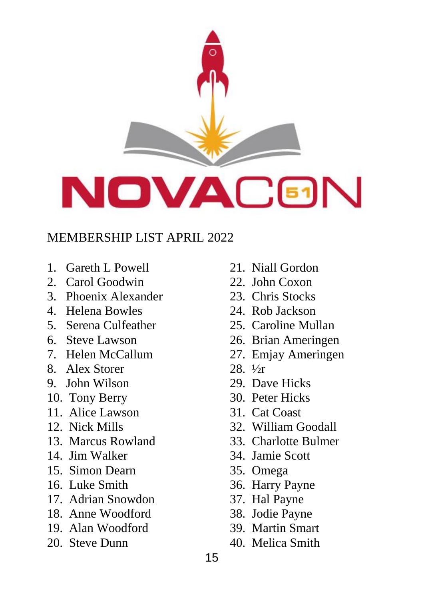

#### MEMBERSHIP LIST APRIL 2022

- 1. Gareth L Powell
- 2. Carol Goodwin
- 3. Phoenix Alexander
- 4. Helena Bowles
- 5. Serena Culfeather
- 6. Steve Lawson
- 7. Helen McCallum
- 8. Alex Storer
- 9. John Wilson
- 10. Tony Berry
- 11. Alice Lawson
- 12. Nick Mills
- 13. Marcus Rowland
- 14. Jim Walker
- 15. Simon Dearn
- 16. Luke Smith
- 17. Adrian Snowdon
- 18. Anne Woodford
- 19. Alan Woodford
- 20. Steve Dunn
- 21. Niall Gordon
- 22. John Coxon
- 23. Chris Stocks
- 24. Rob Jackson
- 25. Caroline Mullan
- 26. Brian Ameringen
- 27. Emjay Ameringen
- 28. ½r
- 29. Dave Hicks
- 30. Peter Hicks
- 31. Cat Coast
- 32. William Goodall
- 33. Charlotte Bulmer
- 34. Jamie Scott
- 35. Omega
- 36. Harry Payne
- 37. Hal Payne
- 38. Jodie Payne
- 39. Martin Smart
- 40. Melica Smith